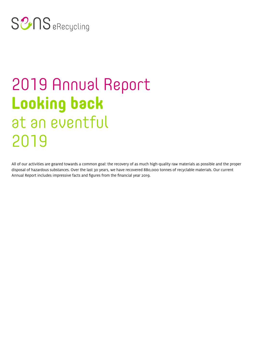# SUB eRecycling

# 2019 Annual Report **Looking back** at an eventful Jahr 2018 2019

All of our activities are geared towards a common goal: the recovery of as much high-quality raw materials as possible and the proper disposal of hazardous substances. Over the last 30 years, we have recovered 880,000 tonnes of recyclable materials. Our current Annual Report includes impressive facts and figures from the financial year 2019.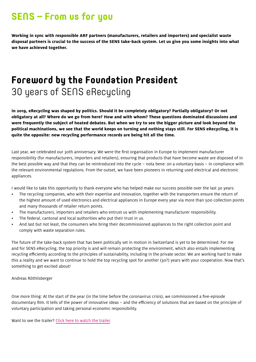### **SENS – From us for you**

**Working in sync with responsible ARF partners (manufacturers, retailers and importers) and specialist waste disposal partners is crucial to the success of the SENS take-back system. Let us give you some insights into what we have achieved together.**

# **Foreword by the Foundation President** 30 years of SENS eRecycling

**In 2019, eRecycling was shaped by politics. Should it be completely obligatory? Partially obligatory? Or not obligatory at all? Where do we go from here? How and with whom? These questions dominated discussions and were frequently the subject of heated debates. But when we try to see the bigger picture and look beyond the political machinations, we see that the world keeps on turning and nothing stays still. For SENS eRecycling, it is quite the opposite: new recycling performance records are being hit all the time.**

Last year, we celebrated our 30th anniversary. We were the first organisation in Europe to implement manufacturer responsibility (for manufacturers, importers and retailers), ensuring that products that have become waste are disposed of in the best possible way and that they can be reintroduced into the cycle – nota bene: on a voluntary basis – in compliance with the relevant environmental regulations. From the outset, we have been pioneers in returning used electrical and electronic appliances.

I would like to take this opportunity to thank everyone who has helped make our success possible over the last 30 years:

- The recycling companies, who with their expertise and innovation, together with the transporters ensure the return of the highest amount of used electronics and electrical appliances in Europe every year via more than 500 collection points and many thousands of retailer return points.
- The manufacturers, importers and retailers who entrust us with implementing manufacturer responsibility.
- The federal, cantonal and local authorities who put their trust in us.
- And last but not least, the consumers who bring their decommissioned appliances to the right collection point and comply with waste separation rules.

The future of the take-back system that has been politically set in motion in Switzerland is yet to be determined. For me and for SENS eRecycling, the top priority is and will remain protecting the environment, which also entails implementing recycling efficiently according to the principles of sustainability, including in the private sector. We are working hard to make this a reality and we want to continue to hold the top recycling spot for another (30?) years with your cooperation. Now that's something to get excited about!

#### Andreas Röthlisberger

One more thing: At the start of the year (in the time before the coronavirus crisis), we commissioned a five-episode documentary film. It tells of the power of innovative ideas – and the efficiency of solutions that are based on the principle of voluntary participation and taking personal economic responsibility.

Want to see the trailer? [Click here to watch the trailer.](https://www.youtube.com/watch?v=zQASes7FYw0)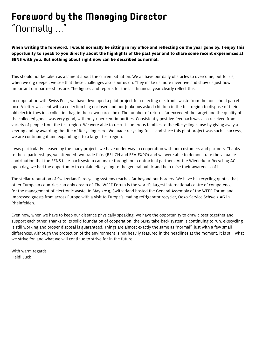# **Foreword by the Managing Director** "Normally ..."

**When writing the foreword, I would normally be sitting in my office and reflecting on the year gone by. I enjoy this opportunity to speak to you directly about the highlights of the past year and to share some recent experiences at SENS with you. But nothing about right now can be described as normal.**

This should not be taken as a lament about the current situation. We all have our daily obstacles to overcome, but for us, when we dig deeper, we see that these challenges also spur us on. They make us more inventive and show us just how important our partnerships are. The figures and reports for the last financial year clearly reflect this.

In cooperation with Swiss Post, we have developed a pilot project for collecting electronic waste from the household parcel box. A letter was sent with a collection bag enclosed and our Junkopus asked children in the test region to dispose of their old electric toys in a collection bag in their own parcel box. The number of returns far exceeded the target and the quality of the collected goods was very good, with only 1 per cent impurities. Consistently positive feedback was also received from a variety of people from the test region. We were able to recruit numerous families to the eRecycling cause by giving away a keyring and by awarding the title of Recycling Hero. We made recycling fun – and since this pilot project was such a success, we are continuing it and expanding it to a larger test region.

I was particularly pleased by the many projects we have under way in cooperation with our customers and partners. Thanks to these partnerships, we attended two trade fairs (BEL.CH and FEA-EXPO) and we were able to demonstrate the valuable contribution that the SENS take-back system can make through our contractual partners. At the Wiederkehr Recycling AG open day, we had the opportunity to explain eRecycling to the general public and help raise their awareness of it.

The stellar reputation of Switzerland's recycling systems reaches far beyond our borders. We have hit recycling quotas that other European countries can only dream of. The WEEE Forum is the world's largest international centre of competence for the management of electronic waste. In May 2019, Switzerland hosted the General Assembly of the WEEE Forum and impressed guests from across Europe with a visit to Europe's leading refrigerator recycler, Oeko-Service Schweiz AG in Rheinfelden.

Even now, when we have to keep our distance physically speaking, we have the opportunity to draw closer together and support each other. Thanks to its solid foundation of cooperation, the SENS take-back system is continuing to run. eRecycling is still working and proper disposal is guaranteed. Things are almost exactly the same as "normal", just with a few small differences. Although the protection of the environment is not heavily featured in the headlines at the moment, it is still what we strive for, and what we will continue to strive for in the future.

With warm regards Heidi Luck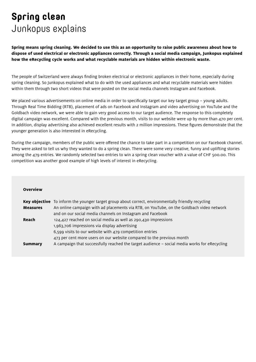# **Spring clean** Junkopus explains

**Spring means spring cleaning. We decided to use this as an opportunity to raise public awareness about how to dispose of used electrical or electronic appliances correctly. Through a social media campaign, Junkopus explained how the eRecycling cycle works and what recyclable materials are hidden within electronic waste.** 

The people of Switzerland were always finding broken electrical or electronic appliances in their home, especially during spring cleaning. So Junkopus explained what to do with the used appliances and what recyclable materials were hidden within them through two short videos that were posted on the social media channels Instagram and Facebook.

We placed various advertisements on online media in order to specifically target our key target group – young adults. Through Real Time Bidding (RTB), placement of ads on Facebook and Instagram and video advertising on YouTube and the Goldbach video network, we were able to gain very good access to our target audience. The response to this completely digital campaign was excellent. Compared with the previous month, visits to our website were up by more than 470 per cent. In addition, display advertising also achieved excellent results with 2 million impressions. These figures demonstrate that the younger generation is also interested in eRecycling.

During the campaign, members of the public were offered the chance to take part in a competition on our Facebook channel. They were asked to tell us why they wanted to do a spring clean. There were some very creative, funny and uplifting stories among the 479 entries. We randomly selected two entries to win a spring clean voucher with a value of CHF 500.00. This competition was another good example of high levels of interest in eRecycling.

| Overview        |                                                                                                           |
|-----------------|-----------------------------------------------------------------------------------------------------------|
|                 | <b>Key objective</b> To inform the younger target group about correct, environmentally friendly recycling |
| <b>Measures</b> | An online campaign with ad placements via RTB, on YouTube, on the Goldbach video network                  |
|                 | and on our social media channels on Instagram and Facebook                                                |
| Reach           | 124,427 reached on social media as well as 290,430 impressions                                            |
|                 | 1,963,706 impressions via display advertising                                                             |
|                 | 6,599 visits to our website with 479 competition entries                                                  |
|                 | 473 per cent more users on our website compared to the previous month                                     |
| Summary         | A campaign that successfully reached the target audience - social media works for eRecycling              |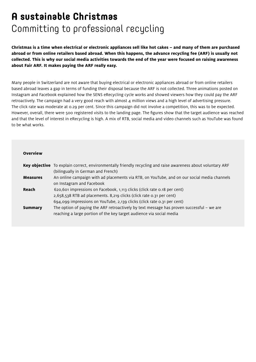# **A sustainable Christmas** Committing to professional recycling

**Christmas is a time when electrical or electronic appliances sell like hot cakes – and many of them are purchased abroad or from online retailers based abroad. When this happens, the advance recycling fee (ARF) is usually not collected. This is why our social media activities towards the end of the year were focused on raising awareness about Fair ARF. It makes paying the ARF really easy.**

Many people in Switzerland are not aware that buying electrical or electronic appliances abroad or from online retailers based abroad leaves a gap in terms of funding their disposal because the ARF is not collected. Three animations posted on Instagram and Facebook explained how the SENS eRecycling cycle works and showed viewers how they could pay the ARF retroactively. The campaign had a very good reach with almost 4 million views and a high level of advertising pressure. The click rate was moderate at 0.29 per cent. Since this campaign did not involve a competition, this was to be expected. However, overall, there were 500 registered visits to the landing page. The figures show that the target audience was reached and that the level of interest in eRecycling is high. A mix of RTB, social media and video channels such as YouTube was found to be what works.

|                 | Key objective To explain correct, environmentally friendly recycling and raise awareness about voluntary ARF |  |
|-----------------|--------------------------------------------------------------------------------------------------------------|--|
|                 | (bilingually in German and French)                                                                           |  |
| <b>Measures</b> | An online campaign with ad placements via RTB, on YouTube, and on our social media channels                  |  |
|                 | on Instagram and Facebook                                                                                    |  |
| Reach           | 620,601 impressions on Facebook, 1,113 clicks (click rate 0.18 per cent)                                     |  |
|                 | 2,658,538 RTB ad placements. 8,219 clicks (click rate 0.31 per cent)                                         |  |
|                 | 694,099 impressions on YouTube, 2,139 clicks (click rate 0.31 per cent)                                      |  |
| <b>Summary</b>  | The option of paying the ARF retroactively by text message has proven successful $-$ we are                  |  |
|                 | reaching a large portion of the key target audience via social media                                         |  |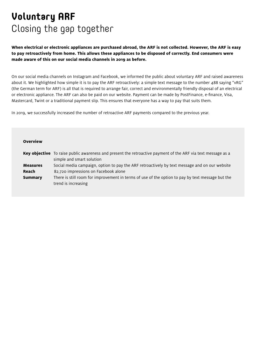# **Voluntary ARF** Closing the gap together

**When electrical or electronic appliances are purchased abroad, the ARF is not collected. However, the ARF is easy to pay retroactively from home. This allows these appliances to be disposed of correctly. End consumers were made aware of this on our social media channels in 2019 as before.**

On our social media channels on Instagram and Facebook, we informed the public about voluntary ARF and raised awareness about it. We highlighted how simple it is to pay the ARF retroactively: a simple text message to the number 488 saying "vRG" (the German term for ARF) is all that is required to arrange fair, correct and environmentally friendly disposal of an electrical or electronic appliance. The ARF can also be paid on our website. Payment can be made by PostFinance, e-finance, Visa, Mastercard, Twint or a traditional payment slip. This ensures that everyone has a way to pay that suits them.

In 2019, we successfully increased the number of retroactive ARF payments compared to the previous year.

| <b>Overview</b> |                                                                                                                                                  |
|-----------------|--------------------------------------------------------------------------------------------------------------------------------------------------|
|                 | <b>Key objective</b> To raise public awareness and present the retroactive payment of the ARF via text message as a<br>simple and smart solution |
| <b>Measures</b> | Social media campaign, option to pay the ARF retroactively by text message and on our website                                                    |
| Reach           | 82,720 impressions on Facebook alone                                                                                                             |
| <b>Summary</b>  | There is still room for improvement in terms of use of the option to pay by text message but the<br>trend is increasing                          |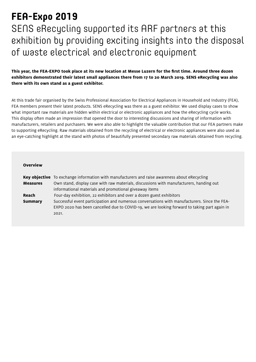# **FEA-Expo 2019**

SENS eRecycling supported its ARF partners at this exhibition by providing exciting insights into the disposal of waste electrical and electronic equipment

**This year, the FEA-EXPO took place at its new location at Messe Luzern for the first time. Around three dozen exhibitors demonstrated their latest small appliances there from 17 to 20 March 2019. SENS eRecycling was also there with its own stand as a guest exhibitor.**

At this trade fair organised by the Swiss Professional Association for Electrical Appliances in Household and Industry (FEA), FEA members present their latest products. SENS eRecycling was there as a guest exhibitor. We used display cases to show what important raw materials are hidden within electrical or electronic appliances and how the eRecycling cycle works. This display often made an impression that opened the door to interesting discussions and sharing of information with manufacturers, retailers and purchasers. We were also able to highlight the valuable contribution that our FEA partners make to supporting eRecycling. Raw materials obtained from the recycling of electrical or electronic appliances were also used as an eye-catching highlight at the stand with photos of beautifully presented secondary raw materials obtained from recycling.

|                 | <b>Key objective</b> To exchange information with manufacturers and raise awareness about eRecycling |  |
|-----------------|------------------------------------------------------------------------------------------------------|--|
| <b>Measures</b> | Own stand, display case with raw materials, discussions with manufacturers, handing out              |  |
|                 | informational materials and promotional giveaway items                                               |  |
| Reach           | Four-day exhibition, 22 exhibitors and over a dozen guest exhibitors                                 |  |
| <b>Summary</b>  | Successful event participation and numerous conversations with manufacturers. Since the FEA-         |  |
|                 | EXPO 2020 has been cancelled due to COVID-19, we are looking forward to taking part again in         |  |
|                 | 2021.                                                                                                |  |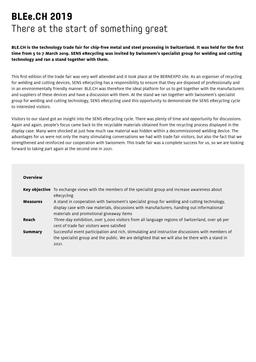# **BLEe.CH 2019** There at the start of something great

**BLE.CH is the technology trade fair for chip-free metal and steel processing in Switzerland. It was held for the first time from 5 to 7 March 2019. SENS eRecycling was invited by Swissmem's specialist group for welding and cutting technology and ran a stand together with them.**

This first edition of the trade fair was very well attended and it took place at the BERNEXPO site. As an organiser of recycling for welding and cutting devices, SENS eRecycling has a responsibility to ensure that they are disposed of professionally and in an environmentally friendly manner. BLE.CH was therefore the ideal platform for us to get together with the manufacturers and suppliers of these devices and have a discussion with them. At the stand we ran together with Swissmem's specialist group for welding and cutting technology, SENS eRecycling used this opportunity to demonstrate the SENS eRecycling cycle to interested visitors.

Visitors to our stand got an insight into the SENS eRecycling cycle. There was plenty of time and opportunity for discussions. Again and again, people's focus came back to the recyclable materials obtained from the recycling process displayed in the display case. Many were shocked at just how much raw material was hidden within a decommissioned welding device. The advantages for us were not only the many stimulating conversations we had with trade fair visitors, but also the fact that we strengthened and reinforced our cooperation with Swissmem. This trade fair was a complete success for us, so we are looking forward to taking part again at the second one in 2021.

| <b>Overview</b> |                                                                                                                                                                                                                                       |
|-----------------|---------------------------------------------------------------------------------------------------------------------------------------------------------------------------------------------------------------------------------------|
|                 | Key objective To exchange views with the members of the specialist group and increase awareness about<br>eRecycling                                                                                                                   |
| <b>Measures</b> | A stand in cooperation with Swissmem's specialist group for welding and cutting technology,<br>display case with raw materials, discussions with manufacturers, handing out informational<br>materials and promotional giveaway items |
| Reach           | Three-day exhibition, over 5,000 visitors from all language regions of Switzerland, over 96 per<br>cent of trade fair visitors were satisfied                                                                                         |
| <b>Summary</b>  | Successful event participation and rich, stimulating and instructive discussions with members of<br>the specialist group and the public. We are delighted that we will also be there with a stand in<br>2021.                         |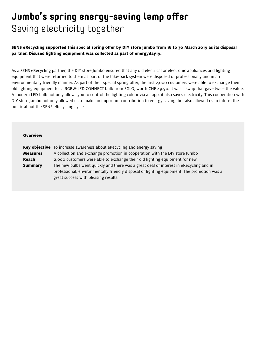# **Jumbo's spring energy-saving lamp offer** Saving electricity together

**SENS eRecycling supported this special spring offer by DIY store Jumbo from 16 to 30 March 2019 as its disposal partner. Disused lighting equipment was collected as part of energyday19.** 

As a SENS eRecycling partner, the DIY store Jumbo ensured that any old electrical or electronic appliances and lighting equipment that were returned to them as part of the take-back system were disposed of professionally and in an environmentally friendly manner. As part of their special spring offer, the first 2,000 customers were able to exchange their old lighting equipment for a RGBW-LED CONNECT bulb from EGLO, worth CHF 49.90. It was a swap that gave twice the value. A modern LED bulb not only allows you to control the lighting colour via an app, it also saves electricity. This cooperation with DIY store Jumbo not only allowed us to make an important contribution to energy saving, but also allowed us to inform the public about the SENS eRecycling cycle.

|                 | <b>Key objective</b> To increase awareness about eRecycling and energy saving              |  |
|-----------------|--------------------------------------------------------------------------------------------|--|
| <b>Measures</b> | A collection and exchange promotion in cooperation with the DIY store Jumbo                |  |
| Reach           | 2,000 customers were able to exchange their old lighting equipment for new                 |  |
| <b>Summary</b>  | The new bulbs went quickly and there was a great deal of interest in eRecycling and in     |  |
|                 | professional, environmentally friendly disposal of lighting equipment. The promotion was a |  |
|                 | great success with pleasing results.                                                       |  |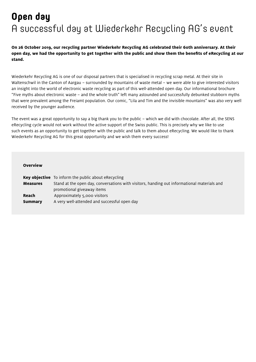# **Open day** A successful day at Wiederkehr Recycling AG's event

#### **On 26 October 2019, our recycling partner Wiederkehr Recycling AG celebrated their 60th anniversary. At their open day, we had the opportunity to get together with the public and show them the benefits of eRecycling at our stand.**

Wiederkehr Recycling AG is one of our disposal partners that is specialised in recycling scrap metal. At their site in Waltenschwil in the Canton of Aargau – surrounded by mountains of waste metal – we were able to give interested visitors an insight into the world of electronic waste recycling as part of this well-attended open day. Our informational brochure "Five myths about electronic waste – and the whole truth" left many astounded and successfully debunked stubborn myths that were prevalent among the Freiamt population. Our comic, "Lila and Tim and the invisible mountains" was also very well received by the younger audience.

The event was a great opportunity to say a big thank you to the public – which we did with chocolate. After all, the SENS eRecycling cycle would not work without the active support of the Swiss public. This is precisely why we like to use such events as an opportunity to get together with the public and talk to them about eRecycling. We would like to thank Wiederkehr Recycling AG for this great opportunity and we wish them every success!

|                 | <b>Key objective</b> To inform the public about eRecycling                                  |  |
|-----------------|---------------------------------------------------------------------------------------------|--|
| <b>Measures</b> | Stand at the open day, conversations with visitors, handing out informational materials and |  |
|                 | promotional giveaway items                                                                  |  |
| Reach           | Approximately 5,000 visitors                                                                |  |
| <b>Summary</b>  | A very well-attended and successful open day                                                |  |
|                 |                                                                                             |  |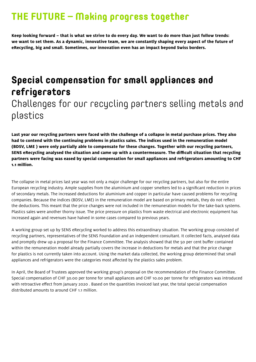### **THE FUTURE – Making progress together**

**Keep looking forward – that is what we strive to do every day. We want to do more than just follow trends: we want to set them. As a dynamic, innovative team, we are constantly shaping every aspect of the future of eRecycling, big and small. Sometimes, our innovation even has an impact beyond Swiss borders.**

# **Special compensation for small appliances and refrigerators** Challenges for our recycling partners selling metals and plastics

**Last year our recycling partners were faced with the challenge of a collapse in metal purchase prices. They also had to contend with the continuing problems in plastics sales. The indices used in the remuneration model (BDSV, LME ) were only partially able to compensate for these changes. Together with our recycling partners, SENS eRecycling analysed the situation and came up with a countermeasure. The difficult situation that recycling partners were facing was eased by special compensation for small appliances and refrigerators amounting to CHF 1.1 million.**

The collapse in metal prices last year was not only a major challenge for our recycling partners, but also for the entire European recycling industry. Ample supplies from the aluminium and copper smelters led to a significant reduction in prices of secondary metals. The increased deductions for aluminium and copper in particular have caused problems for recycling companies. Because the indices (BDSV, LME) in the remuneration model are based on primary metals, they do not reflect the deductions. This meant that the price changes were not included in the remuneration models for the take-back systems. Plastics sales were another thorny issue. The price pressure on plastics from waste electrical and electronic equipment has increased again and revenues have halved in some cases compared to previous years.

A working group set up by SENS eRecycling worked to address this extraordinary situation. The working group consisted of recycling partners, representatives of the SENS Foundation and an independent consultant. It collected facts, analysed data and promptly drew up a proposal for the Finance Committee. The analysis showed that the 50 per cent buffer contained within the remuneration model already partially covers the increase in deductions for metals and that the price change for plastics is not currently taken into account. Using the market data collected, the working group determined that small appliances and refrigerators were the categories most affected by the plastics sales problem.

In April, the Board of Trustees approved the working group's proposal on the recommendation of the Finance Committee. Special compensation of CHF 30.00 per tonne for small appliances and CHF 10.00 per tonne for refrigerators was introduced with retroactive effect from January 2020 . Based on the quantities invoiced last year, the total special compensation distributed amounts to around CHF 1.1 million.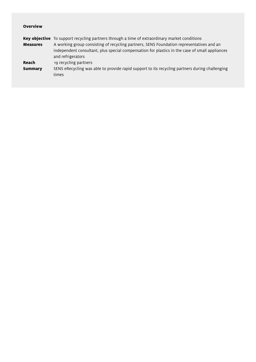| <b>Key objective</b> To support recycling partners through a time of extraordinary market conditions                |  |
|---------------------------------------------------------------------------------------------------------------------|--|
| A working group consisting of recycling partners, SENS Foundation representatives and an                            |  |
| independent consultant, plus special compensation for plastics in the case of small appliances<br>and refrigerators |  |
| 19 recycling partners                                                                                               |  |
| SENS eRecycling was able to provide rapid support to its recycling partners during challenging<br>times             |  |
|                                                                                                                     |  |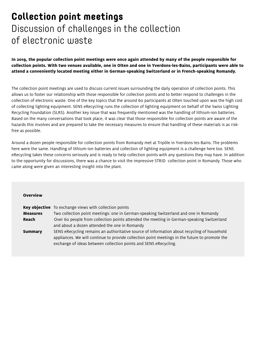# **Collection point meetings**  Discussion of challenges in the collection of electronic waste

**In 2019, the popular collection point meetings were once again attended by many of the people responsible for collection points. With two venues available, one in Olten and one in Yverdons-les-Bains, participants were able to attend a conveniently located meeting either in German-speaking Switzerland or in French-speaking Romandy.**

The collection point meetings are used to discuss current issues surrounding the daily operation of collection points. This allows us to foster our relationship with those responsible for collection points and to better respond to challenges in the collection of electronic waste. One of the key topics that the around 60 participants at Olten touched upon was the high cost of collecting lighting equipment. SENS eRecycling runs the collection of lighting equipment on behalf of the Swiss Lighting Recycling Foundation (SLRS). Another key issue that was frequently mentioned was the handling of lithium-ion batteries. Based on the many conversations that took place, it was clear that those responsible for collection points are aware of the hazards this involves and are prepared to take the necessary measures to ensure that handling of these materials is as riskfree as possible.

Around a dozen people responsible for collection points from Romandy met at Tripôle in Yverdons-les-Bains. The problems here were the same. Handling of lithium-ion batteries and collection of lighting equipment is a challenge here too. SENS eRecycling takes these concerns seriously and is ready to help collection points with any questions they may have. In addition to the opportunity for discussions, there was a chance to visit the impressive STRID collection point in Romandy. Those who came along were given an interesting insight into the plant.

| <b>Overview</b> |  |
|-----------------|--|
|                 |  |
|                 |  |

|                 | <b>Key objective</b> To exchange views with collection points                                  |  |
|-----------------|------------------------------------------------------------------------------------------------|--|
| <b>Measures</b> | Two collection point meetings: one in German-speaking Switzerland and one in Romandy           |  |
| Reach           | Over 60 people from collection points attended the meeting in German-speaking Switzerland      |  |
|                 | and about a dozen attended the one in Romandy                                                  |  |
| <b>Summary</b>  | SENS eRecycling remains an authoritative source of information about recycling of household    |  |
|                 | appliances. We will continue to provide collection point meetings in the future to promote the |  |
|                 | exchange of ideas between collection points and SENS eRecycling.                               |  |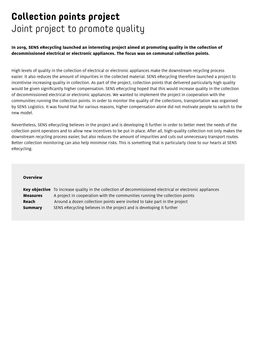### **Collection points project**  Joint project to promote quality

**In 2019, SENS eRecycling launched an interesting project aimed at promoting quality in the collection of decommissioned electrical or electronic appliances. The focus was on communal collection points.**

High levels of quality in the collection of electrical or electronic appliances make the downstream recycling process easier. It also reduces the amount of impurities in the collected material. SENS eRecycling therefore launched a project to incentivise increasing quality in collection. As part of the project, collection points that delivered particularly high quality would be given significantly higher compensation. SENS eRecycling hoped that this would increase quality in the collection of decommissioned electrical or electronic appliances. We wanted to implement the project in cooperation with the communities running the collection points. In order to monitor the quality of the collections, transportation was organised by SENS Logistics. It was found that for various reasons, higher compensation alone did not motivate people to switch to the new model.

Nevertheless, SENS eRecycling believes in the project and is developing it further in order to better meet the needs of the collection point operators and to allow new incentives to be put in place. After all, high-quality collection not only makes the downstream recycling process easier, but also reduces the amount of impurities and cuts out unnecessary transport routes. Better collection monitoring can also help minimise risks. This is something that is particularly close to our hearts at SENS eRecycling.

#### **Overview**

**Key objective** To increase quality in the collection of decommissioned electrical or electronic appliances **Measures** A project in cooperation with the communities running the collection points **Reach** Around a dozen collection points were invited to take part in the project **Summary** SENS eRecycling believes in the project and is developing it further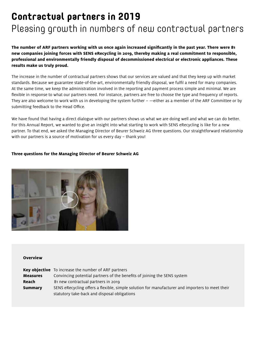# **Contractual partners in 2019**

### Pleasing growth in numbers of new contractual partners

**The number of ARF partners working with us once again increased significantly in the past year. There were 81 new companies joining forces with SENS eRecycling in 2019, thereby making a real commitment to responsible, professional and environmentally friendly disposal of decommissioned electrical or electronic appliances. These results make us truly proud.** 

The increase in the number of contractual partners shows that our services are valued and that they keep up with market standards. Because we guarantee state-of-the-art, environmentally friendly disposal, we fulfil a need for many companies. At the same time, we keep the administration involved in the reporting and payment process simple and minimal. We are flexible in response to what our partners need. For instance, partners are free to choose the type and frequency of reports. They are also welcome to work with us in developing the system further – —either as a member of the ARF Committee or by submitting feedback to the Head Office.

We have found that having a direct dialogue with our partners shows us what we are doing well and what we can do better. For this Annual Report, we wanted to give an insight into what starting to work with SENS eRecycling is like for a new partner. To that end, we asked the Managing Director of Beurer Schweiz AG three questions. Our straightforward relationship with our partners is a source of motivation for us every day – thank you!

#### **Three questions for the Managing Director of Beurer Schweiz AG**



|                 | <b>Key objective</b> To increase the number of ARF partners                                     |  |
|-----------------|-------------------------------------------------------------------------------------------------|--|
| <b>Measures</b> | Convincing potential partners of the benefits of joining the SENS system                        |  |
| Reach           | 81 new contractual partners in 2019                                                             |  |
| <b>Summary</b>  | SENS eRecycling offers a flexible, simple solution for manufacturer and importers to meet their |  |
|                 | statutory take-back and disposal obligations                                                    |  |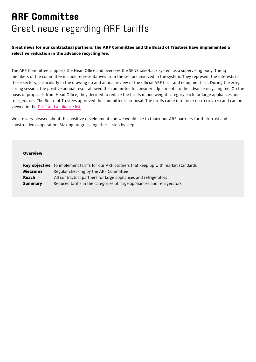# **ARF Committee**  Great news regarding ARF tariffs

#### **Great news for our contractual partners: the ARF Committee and the Board of Trustees have implemented a selective reduction in the advance recycling fee.**

The ARF Committee supports the Head Office and oversees the SENS take-back system as a supervising body. The 14 members of the committee include representatives from the sectors involved in the system. They represent the interests of those sectors, particularly in the drawing up and annual review of the official ARF tariff and equipment list. During the 2019 spring session, the positive annual result allowed the committee to consider adjustments to the advance recycling fee. On the basis of proposals from Head Office, they decided to reduce the tariffs in one weight category each for large appliances and refrigerators. The Board of Trustees approved the committee's proposal. The tariffs came into force on 01.01.2020 and can be viewed in the [Tariff and appliance list.](https://www.erecycling.ch/en/vrg-partner/tarife-und-geraeteliste.html)

We are very pleased about this positive development and we would like to thank our ARF partners for their trust and constructive cooperation. Making progress together – step by step!

|                 | <b>Key objective</b> To implement tariffs for our ARF partners that keep up with market standards |  |
|-----------------|---------------------------------------------------------------------------------------------------|--|
| <b>Measures</b> | Regular checking by the ARF Committee                                                             |  |
| Reach           | All contractual partners for large appliances and refrigerators                                   |  |
| <b>Summary</b>  | Reduced tariffs in the categories of large appliances and refrigerators                           |  |
|                 |                                                                                                   |  |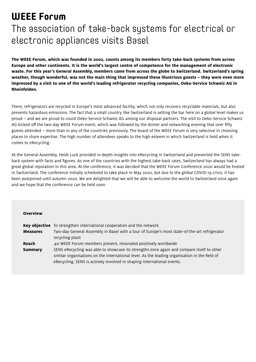# **WEEE Forum**

# The association of take-back systems for electrical or electronic appliances visits Basel

**The WEEE Forum, which was founded in 2002, counts among its members forty take-back systems from across Europe and other continents. It is the world's largest centre of competence for the management of electronic waste. For this year's General Assembly, members came from across the globe to Switzerland. Switzerland's spring weather, though wonderful, was not the main thing that impressed these illustrious guests – they were even more impressed by a visit to one of the world's leading refrigerator recycling companies, Oeko-Service Schweiz AG in Rheinfelden.**

There, refrigerators are recycled in Europe's most advanced facility, which not only recovers recyclable materials, but also prevents hazardous emissions. The fact that a small country like Switzerland is setting the bar here on a global level makes us proud – and we are proud to count Oeko-Service Schweiz AG among our disposal partners. The visit to Oeko-Service Schweiz AG kicked off the two-day WEEE Forum event, which was followed by the dinner and networking evening that over fifty guests attended – more than in any of the countries previously. The board of the WEEE Forum is very selective in choosing places to share expertise. The high number of attendees speaks to the high esteem in which Switzerland is held when it comes to eRecycling.

At the General Assembly, Heidi Luck provided in-depth insights into eRecycling in Switzerland and presented the SENS takeback system with facts and figures. As one of the countries with the highest take-back rates, Switzerland has always had a great global reputation in this area. At the conference, it was decided that the WEEE Forum Conference 2020 would be hosted in Switzerland. The conference initially scheduled to take place in May 2020, but due to the global COVID-19 crisis, it has been postponed until autumn 2020. We are delighted that we will be able to welcome the world to Switzerland once again and we hope that the conference can be held soon.

|                 | <b>Key objective</b> To strengthen international cooperation and the network                  |
|-----------------|-----------------------------------------------------------------------------------------------|
| <b>Measures</b> | Two-day General Assembly in Basel with a tour of Europe's most state-of-the-art refrigerator  |
|                 | recycling plant                                                                               |
| Reach           | 40 WEEE Forum members present, resonated positively worldwide                                 |
| <b>Summary</b>  | SENS eRecycling was able to showcase its strengths once again and compare itself to other     |
|                 | similar organisations on the international level. As the leading organisation in the field of |
|                 | eRecycling, SENS is actively involved in shaping international events.                        |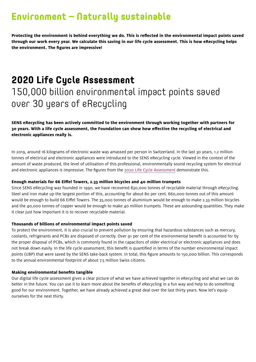### **Environment – Naturally sustainable**

**Protecting the environment is behind everything we do. This is reflected in the environmental impact points saved through our work every year. We calculate this saving in our life cycle assessment. This is how eRecycling helps the environment. The figures are impressive!**

# **2020 Life Cycle Assessment** 150,000 billion environmental impact points saved over 30 years of eRecycling

**SENS eRecycling has been actively committed to the environment through working together with partners for 30 years. With a life cycle assessment, the Foundation can show how effective the recycling of electrical and electronic appliances really is.** 

In 2019, around 16 kilograms of electronic waste was amassed per person in Switzerland. In the last 30 years, 1.2 million tonnes of electrical and electronic appliances were introduced to the SENS eRecycling cycle. Viewed in the context of the amount of waste produced, the level of utilisation of this professional, environmentally sound recycling system for electrical and electronic appliances is impressive. The figures from the [2020 Life Cycle Assessment](http://www.erecycling.ch/en/oekobilanz-2020.html) demonstrate this.

#### **Enough materials for 66 Eiffel Towers, 2.33 million bicycles and 40 million trumpets**

Since SENS eRecycling was founded in 1990, we have recovered 830,000 tonnes of recyclable material through eRecycling. Steel and iron make up the largest portion of this, accounting for about 80 per cent. 660,000 tonnes out of this amount would be enough to build 66 Eiffel Towers. The 35,000 tonnes of aluminium would be enough to make 2.33 million bicycles and the 40,000 tonnes of copper would be enough to make 40 million trumpets. These are astounding quantities. They make it clear just how important it is to recover recyclable material.

#### **Thousands of billions of environmental impact points saved**

To protect the environment, it is also crucial to prevent pollution by ensuring that hazardous substances such as mercury, coolants, refrigerants and PCBs are disposed of correctly. Over 91 per cent of the environmental benefit is accounted for by the proper disposal of PCBs, which is commonly found in the capacitors of older electrical or electronic appliances and does not break down easily. In the life cycle assessment, this benefit is quantified in terms of the number environmental impact points (UBP) that were saved by the SENS take-back system. In total, this figure amounts to 150,000 billion. This corresponds to the annual environmental footprint of about 7.5 million Swiss citizens.

#### **Making environmental benefits tangible**

Our digital life cycle assessment gives a clear picture of what we have achieved together in eRecycling and what we can do better in the future. You can use it to learn more about the benefits of eRecycling in a fun way and help to do something good for our environment. Together, we have already achieved a great deal over the last thirty years. Now let's equip ourselves for the next thirty.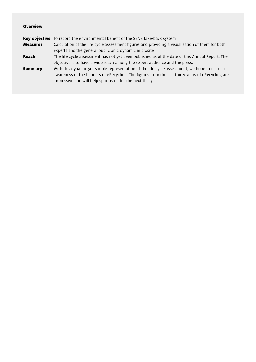|                 | Key objective To record the environmental benefit of the SENS take-back system                    |
|-----------------|---------------------------------------------------------------------------------------------------|
| <b>Measures</b> | Calculation of the life cycle assessment figures and providing a visualisation of them for both   |
|                 | experts and the general public on a dynamic microsite                                             |
| Reach           | The life cycle assessment has not yet been published as of the date of this Annual Report. The    |
|                 | objective is to have a wide reach among the expert audience and the press.                        |
| <b>Summary</b>  | With this dynamic yet simple representation of the life cycle assessment, we hope to increase     |
|                 | awareness of the benefits of eRecycling. The figures from the last thirty years of eRecycling are |
|                 | impressive and will help spur us on for the next thirty.                                          |
|                 |                                                                                                   |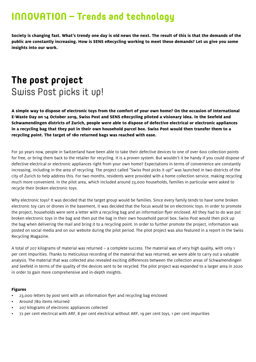# **INNOVATION – Trends and technology**

**Society is changing fast. What's trendy one day is old news the next. The result of this is that the demands of the public are constantly increasing. How is SENS eRecycling working to meet these demands? Let us give you some insights into our work.**

# **The post project** Swiss Post picks it up!

**A simple way to dispose of electronic toys from the comfort of your own home? On the occasion of International E-Waste Day on 14 October 2019, Swiss Post and SENS eRecycling piloted a visionary idea. In the Seefeld and Schwamendingen districts of Zurich, people were able to dispose of defective electrical or electronic appliances in a recycling bag that they put in their own household parcel box. Swiss Post would then transfer them to a recycling point. The target of 180 returned bags was reached with ease.**

For 30 years now, people in Switzerland have been able to take their defective devices to one of over 600 collection points for free, or bring them back to the retailer for recycling. It is a proven system. But wouldn't it be handy if you could dispose of defective electrical or electronic appliances right from your own home? Expectations in terms of convenience are constantly increasing, including in the area of recycling. The project called "Swiss Post picks it up!" was launched in two districts of the city of Zurich to help address this. For two months, residents were provided with a home collection service, making recycling much more convenient. In the pilot area, which included around 23,000 households, families in particular were asked to recycle their broken electronic toys.

Why electronic toys? It was decided that the target group would be families. Since every family tends to have some broken electronic toy cars or drones in the basement, it was decided that the focus would be on electronic toys. In order to promote the project, households were sent a letter with a recycling bag and an information flyer enclosed. All they had to do was put broken electronic toys in the bag and then put the bag in their own household parcel box. Swiss Post would then pick up the bag when delivering the mail and bring it to a recycling point. In order to further promote the project, information was posted on social media and on our website during the pilot period. The pilot project was also featured in a report in the Swiss Recycling Magazine.

A total of 207 kilograms of material was returned – a complete success. The material was of very high quality, with only 1 per cent impurities. Thanks to meticulous recording of the material that was returned, we were able to carry out a valuable analysis. The material that was collected also revealed exciting differences between the collection areas of Schwamendingen and Seefeld in terms of the quality of the devices sent to be recycled. The pilot project was expanded to a larger area in 2020 in order to gain more comprehensive and in-depth insights.

#### **Figures**

- 23,000 letters by post sent with an information flyer and recycling bag enclosed
- Around 780 items returned
- 207 kilograms of electronic appliances collected
- 72 per cent electrical with ARF, 8 per cent electrical without ARF, 19 per cent toys, 1 per cent impurities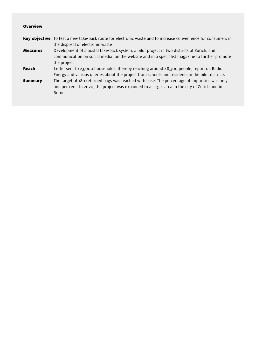|                 | Key objective To test a new take-back route for electronic waste and to increase convenience for consumers in                                                                                           |
|-----------------|---------------------------------------------------------------------------------------------------------------------------------------------------------------------------------------------------------|
|                 | the disposal of electronic waste                                                                                                                                                                        |
| <b>Measures</b> | Development of a postal take-back system, a pilot project in two districts of Zurich, and<br>communication on social media, on the website and in a specialist magazine to further promote              |
|                 | the project                                                                                                                                                                                             |
| Reach           | Letter sent to 23,000 households, thereby reaching around 48,300 people, report on Radio<br>Energy and various queries about the project from schools and residents in the pilot districts              |
| <b>Summary</b>  | The target of 180 returned bags was reached with ease. The percentage of impurities was only<br>one per cent. In 2020, the project was expanded to a larger area in the city of Zurich and in<br>Berne. |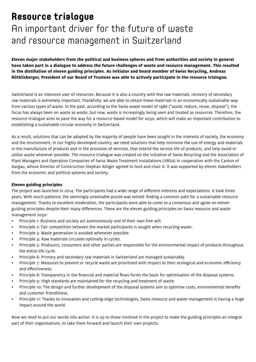# **Resource trialogue**  An important driver for the future of waste and resource management in Switzerland

**Eleven major stakeholders from the political and business spheres and from authorities and society in general have taken part in a dialogue to address the future challenges of waste and resource management. This resulted in the distillation of eleven guiding principles. As initiator and board member of Swiss Recycling, Andreas Röthlisberger, President of our Board of Trustees was able to actively participate in the resource trialogue.** 

Switzerland is an intensive user of resources. Because it is also a country with few raw materials, recovery of secondary raw materials is extremely important. Thankfully, we are able to obtain these materials in an economically sustainable way from various types of waste. In the past, according to the Swiss waste model of 1986 ("avoid, reduce, reuse, dispose"), the focus has always been on waste as waste, but now, waste is increasingly being seen and treated as resources. Therefore, the resource trialogue aims to pave the way for a resource-based model for 2030, which will make an important contribution to establishing a sustainable circular economy in Switzerland.

As a result, solutions that can be adopted by the majority of people have been sought in the interests of society, the economy and the environment. In our highly developed country, we need solutions that help minimise the use of energy and materials in the manufacture of products and in the provision of services, that extend the service life of products, and help avoid or utilise waste wherever possible. The resource trialogue was created on the initiative of Swiss Recycling and the Association of Plant Managers and Operation Companies of Swiss Waste Treatment Installations (VBSA) in cooperation with the Canton of Aargau, whose Director of Construction Stephan Attiger agreed to host and chair it. It was supported by eleven stakeholders from the economic and political spheres and society.

#### **Eleven guiding principles**

The project was launched in 2014. The participants had a wide range of different interests and expectations. It took three years. With much patience, the seemingly unsolvable puzzle was solved: finding a common path for a sustainable resource management. Thanks to excellent moderation, the participants were able to come to a consensus and agree on eleven guiding principles despite their many differences. These are the eleven guiding principles on Swiss resource and waste management 2030:

- Principle 1: Business and society act autonomously and of their own free will.
- Principle 2: Fair competition between the market participants is sought when recycling waste.
- Principle 3: Waste generation is avoided whenever possible.
- Principle 4: Raw materials circulate optimally in cycles.
- Principle 5: Producers, consumers and other parties are responsible for the environmental impact of products throughout the entire life cycle.
- Principle 6: Primary and secondary raw materials in Switzerland are managed sustainably.
- Principle 7: Measures to prevent or recycle waste are prioritised with respect to their ecological and economic efficiency and effectiveness.
- Principle 8: Transparency in the financial and material flows forms the basis for optimisation of the disposal systems.
- Principle 9: High standards are maintained for the recycling and treatment of waste.
- Principle 10: The design and further development of the disposal systems aim to optimise costs, environmental benefits and customer friendliness.
- Principle 11: Thanks to innovation and cutting-edge technologies, Swiss resource and waste management is having a huge impact around the world.

Now we need to put our words into action. It is up to those involved in the project to make the guiding principles an integral part of their organisations, to take them forward and launch their own projects.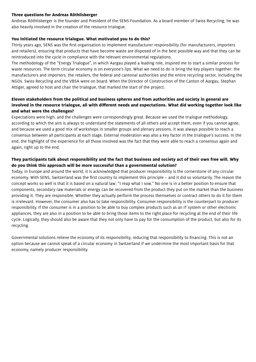#### **Three questions for Andreas Röthlisberger**

Andreas Röthlisberger is the founder and President of the SENS Foundation. As a board member of Swiss Recycling, he was also heavily involved in the creation of the resource trialogue.

#### **You initiated the resource trialogue. What motivated you to do this?**

Thirty years ago, SENS was the first organisation to implement manufacturer responsibility (for manufacturers, importers and retailers), ensuring that products that have become waste are disposed of in the best possible way and that they can be reintroduced into the cycle in compliance with the relevant environmental regulations.

The methodology of the "Energy Trialogue", in which Aargau played a leading role, inspired me to start a similar process for waste resources. The term circular economy is on everyone's lips. What we need to do is bring the key players together: the manufacturers and importers, the retailers, the federal and cantonal authorities and the entire recycling sector, including the NGOs. Swiss Recycling and the VBSA were on board. When the Director of Construction of the Canton of Aargau, Stephan Attiger, agreed to host and chair the trialogue, that marked the start of the project.

#### **Eleven stakeholders from the political and business spheres and from authorities and society in general are involved in the resource trialogue, all with different needs and expectations. What did working together look like and what were the challenges?**

Expectations were high, and the challenges were correspondingly great. Because we used the trialogue methodology, according to which the aim is always to understand the statements of all others and accept them, even if you cannot agree, and because we used a good mix of workshops in smaller groups and plenary sessions, it was always possible to reach a consensus between all participants at each stage. External moderation was also a key factor in the trialogue's success. In the end, the highlight of the experience for all those involved was the fact that they were able to reach a consensus again and again, right up to the end.

#### **They participants talk about responsibility and the fact that business and society act of their own free will. Why do you think this approach will be more successful than a governmental solution?**

Today, in Europe and around the world, it is acknowledged that producer responsibility is the cornerstone of any circular economy. With SENS, Switzerland was the first country to implement this principle – and it did so voluntarily. The reason the concept works so well is that it is based on a natural law: "I reap what I sow." No one is in a better position to ensure that components, secondary raw materials or energy can be recovered from the product they put on the market than the business providing it. They are responsible. Whether they actually perform the process themselves or contract others to do it for them is irrelevant. However, the consumer also has to take responsibility. Consumer responsibility is the counterpart to producer responsibility. If the consumer is in a position to be able to buy complex products such as an IT system or other electronic appliances, they are also in a position to be able to bring those items to the right place for recycling at the end of their life cycle. Logically, they should also be aware that they not only have to pay for the consumption of the product, but also for its recycling.

Governmental solutions relieve the economy of its responsibility, reducing that responsibility to financing. This is not an option because we cannot speak of a circular economy in Switzerland if we undermine the most important basis for that economy, namely producer responsibility.